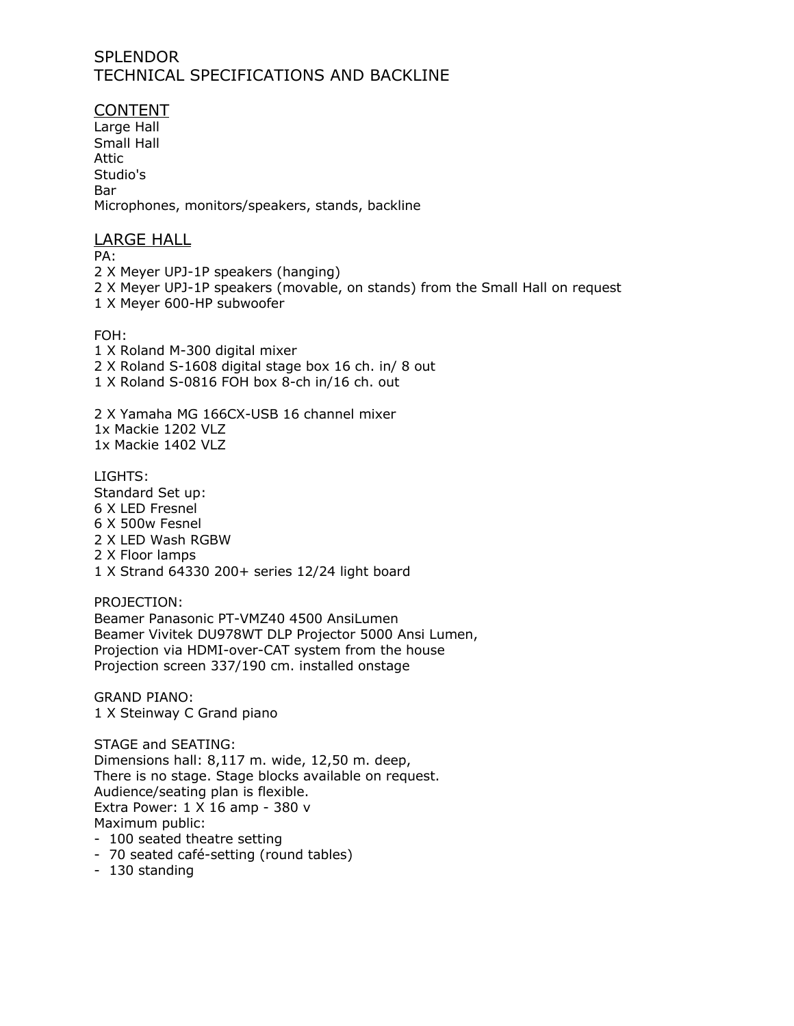## **SPLENDOR** TECHNICAL SPECIFICATIONS AND BACKLINE

CONTENT Large Hall Small Hall Attic Studio's Bar Microphones, monitors/speakers, stands, backline

#### LARGE HALL

PA: 2 X Meyer UPJ-1P speakers (hanging) 2 X Meyer UPJ-1P speakers (movable, on stands) from the Small Hall on request 1 X Meyer 600-HP subwoofer

FOH:

1 X Roland M-300 digital mixer 2 X Roland S-1608 digital stage box 16 ch. in/ 8 out 1 X Roland S-0816 FOH box 8-ch in/16 ch. out

2 X Yamaha MG 166CX-USB 16 channel mixer 1x Mackie 1202 VLZ 1x Mackie 1402 VLZ

LIGHTS: Standard Set up: 6 X LED Fresnel 6 X 500w Fesnel 2 X LED Wash RGBW 2 X Floor lamps 1 X Strand 64330 200+ series 12/24 light board

PROJECTION: Beamer Panasonic PT-VMZ40 4500 AnsiLumen Beamer Vivitek DU978WT DLP Projector 5000 Ansi Lumen, Projection via HDMI-over-CAT system from the house Projection screen 337/190 cm. installed onstage

GRAND PIANO: 1 X Steinway C Grand piano

STAGE and SEATING: Dimensions hall: 8,117 m. wide, 12,50 m. deep, There is no stage. Stage blocks available on request. Audience/seating plan is flexible. Extra Power: 1 X 16 amp - 380 v Maximum public:

- 100 seated theatre setting
- 70 seated café-setting (round tables)
- 130 standing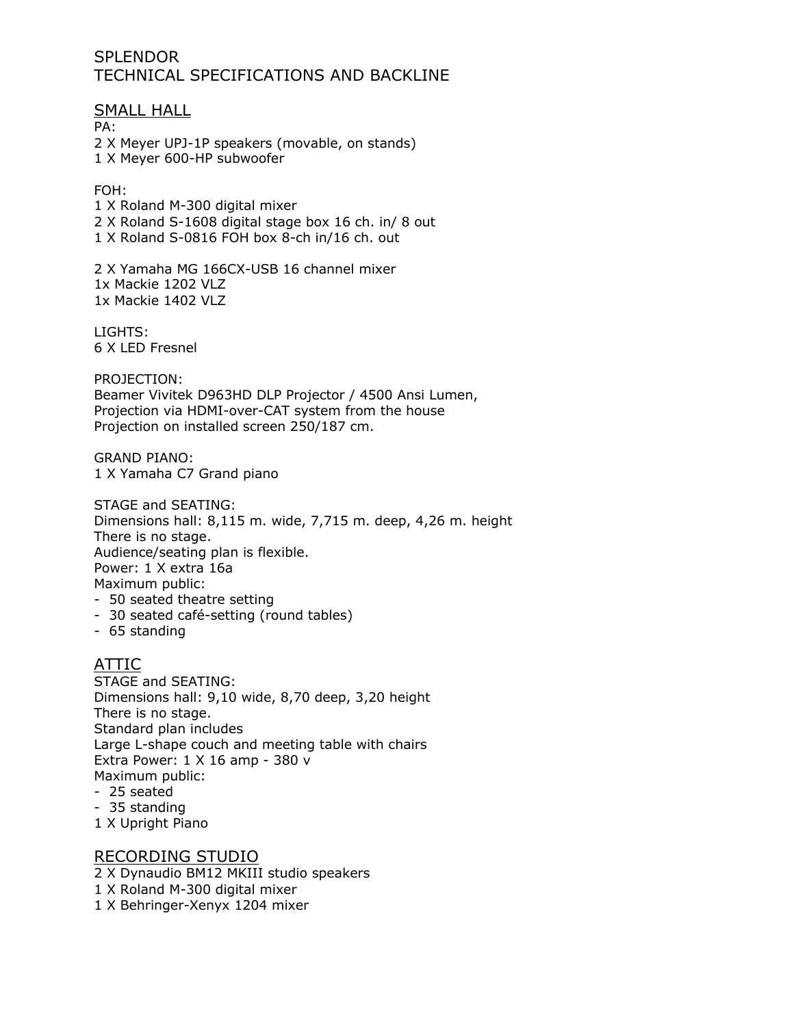## **SPLENDOR** TECHNICAL SPECIFICATIONS AND BACKLINE

SMALL HALL PA: 2 X Meyer UPJ-1P speakers (movable, on stands) 1 X Meyer 600-HP subwoofer

#### FOH:

1 X Roland M-300 digital mixer 2 X Roland S-1608 digital stage box 16 ch. in/ 8 out 1 X Roland S-0816 FOH box 8-ch in/16 ch. out

2 X Yamaha MG 166CX-USB 16 channel mixer 1x Mackie 1202 VLZ 1x Mackie 1402 VLZ

LIGHTS: 6 X LED Fresnel

PROJECTION:

Beamer Vivitek D963HD DLP Projector / 4500 Ansi Lumen, Projection via HDMI-over-CAT system from the house Projection on installed screen 250/187 cm.

GRAND PIANO: 1 X Yamaha C7 Grand piano

STAGE and SEATING: Dimensions hall: 8,115 m. wide, 7,715 m. deep, 4,26 m. height There is no stage. Audience/seating plan is flexible. Power: 1 X extra 16a Maximum public: - 50 seated theatre setting

- 30 seated café-setting (round tables)
- 65 standing

### ATTIC

STAGE and SEATING: Dimensions hall: 9,10 wide, 8,70 deep, 3,20 height There is no stage. Standard plan includes Large L-shape couch and meeting table with chairs Extra Power: 1 X 16 amp - 380 v Maximum public:

- 25 seated
- 35 standing
- 1 X Upright Piano

#### RECORDING STUDIO

- 2 X Dynaudio BM12 MKIII studio speakers
- 1 X Roland M-300 digital mixer
- 1 X Behringer-Xenyx 1204 mixer